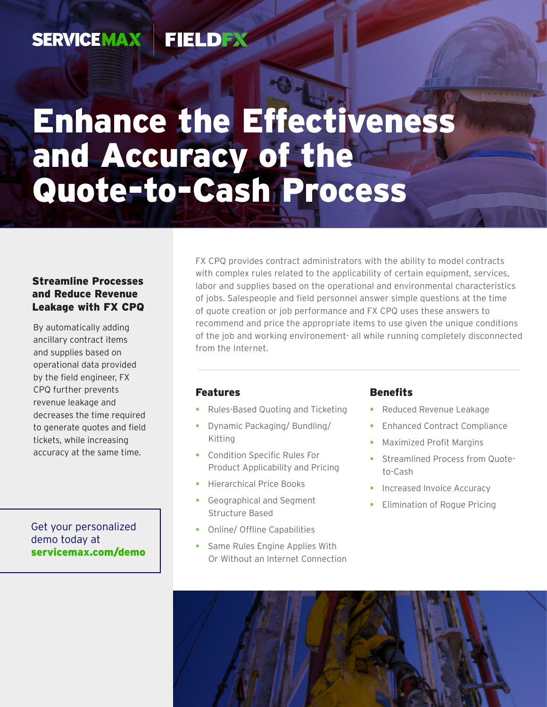#### **SERVICEMAX FIELDEX**

# Enhance the Effectiveness and Accuracy of the Quote-to-Cash Process

#### Streamline Processes and Reduce Revenue Leakage with FX CPQ

By automatically adding ancillary contract items and supplies based on operational data provided by the field engineer, FX CPQ further prevents revenue leakage and decreases the time required to generate quotes and field tickets, while increasing accuracy at the same time.

Get your personalized demo today at [servicemax.com/demo](http://servicemax.com/demo) FX CPQ provides contract administrators with the ability to model contracts with complex rules related to the applicability of certain equipment, services, labor and supplies based on the operational and environmental characteristics of jobs. Salespeople and field personnel answer simple questions at the time of quote creation or job performance and FX CPQ uses these answers to recommend and price the appropriate items to use given the unique conditions of the job and working environement- all while running completely disconnected from the Internet.

#### Features

- **Rules-Based Quoting and Ticketing**
- **-** Dynamic Packaging/ Bundling/ Kitting
- **Condition Specific Rules For** Product Applicability and Pricing
- **Hierarchical Price Books**
- Geographical and Segment Structure Based
- **-** Online/ Offline Capabilities
- **Same Rules Engine Applies With** Or Without an Internet Connection

#### **Benefits**

- **Reduced Revenue Leakage**
- **Enhanced Contract Compliance**
- **Maximized Profit Margins**
- **Streamlined Process from Quote**to-Cash
- **Increased Invoice Accuracy**
- Elimination of Rogue Pricing